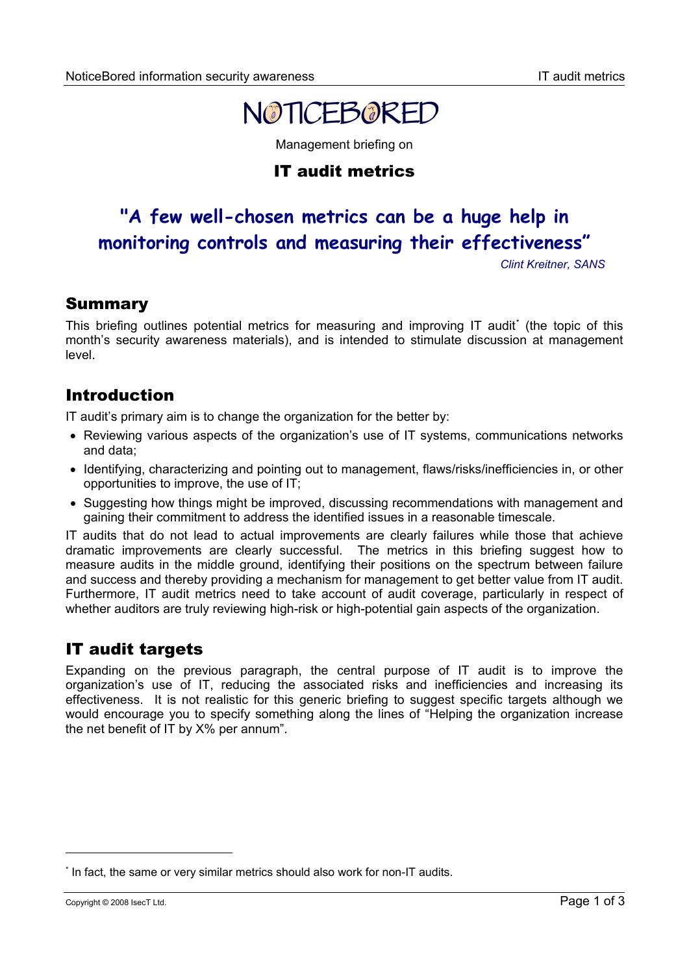

Management briefing on

# IT audit metrics

# **"A few well-chosen metrics can be a huge help in monitoring controls and measuring their effectiveness"**

*Clint Kreitner, SANS*

### Summary

This briefing outlines potential metrics for measuring and improving IT audit[\\*](#page-0-0) (the topic of this month's security awareness materials), and is intended to stimulate discussion at management level.

### Introduction

IT audit's primary aim is to change the organization for the better by:

- Reviewing various aspects of the organization's use of IT systems, communications networks and data;
- Identifying, characterizing and pointing out to management, flaws/risks/inefficiencies in, or other opportunities to improve, the use of IT;
- Suggesting how things might be improved, discussing recommendations with management and gaining their commitment to address the identified issues in a reasonable timescale.

IT audits that do not lead to actual improvements are clearly failures while those that achieve dramatic improvements are clearly successful. The metrics in this briefing suggest how to measure audits in the middle ground, identifying their positions on the spectrum between failure and success and thereby providing a mechanism for management to get better value from IT audit. Furthermore, IT audit metrics need to take account of audit coverage, particularly in respect of whether auditors are truly reviewing high-risk or high-potential gain aspects of the organization.

# IT audit targets

Expanding on the previous paragraph, the central purpose of IT audit is to improve the organization's use of IT, reducing the associated risks and inefficiencies and increasing its effectiveness. It is not realistic for this generic briefing to suggest specific targets although we would encourage you to specify something along the lines of "Helping the organization increase the net benefit of IT by X% per annum".

 $\overline{a}$ 

<span id="page-0-0"></span><sup>\*</sup> In fact, the same or very similar metrics should also work for non-IT audits.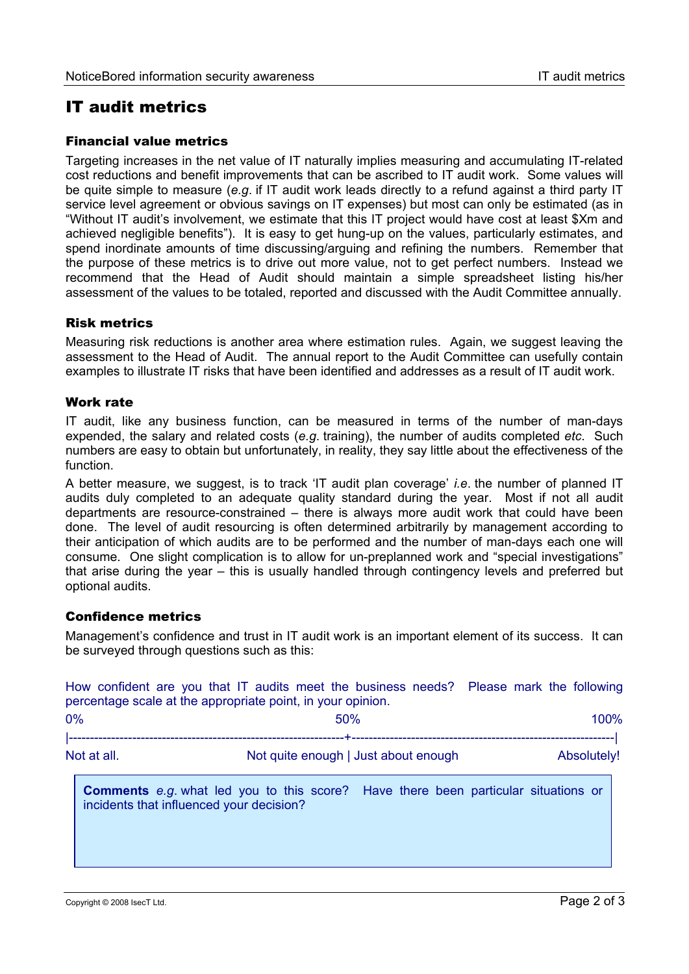## IT audit metrics

#### Financial value metrics

Targeting increases in the net value of IT naturally implies measuring and accumulating IT-related cost reductions and benefit improvements that can be ascribed to IT audit work. Some values will be quite simple to measure (*e.g*. if IT audit work leads directly to a refund against a third party IT service level agreement or obvious savings on IT expenses) but most can only be estimated (as in "Without IT audit's involvement, we estimate that this IT project would have cost at least \$Xm and achieved negligible benefits"). It is easy to get hung-up on the values, particularly estimates, and spend inordinate amounts of time discussing/arguing and refining the numbers. Remember that the purpose of these metrics is to drive out more value, not to get perfect numbers. Instead we recommend that the Head of Audit should maintain a simple spreadsheet listing his/her assessment of the values to be totaled, reported and discussed with the Audit Committee annually.

#### Risk metrics

Measuring risk reductions is another area where estimation rules. Again, we suggest leaving the assessment to the Head of Audit. The annual report to the Audit Committee can usefully contain examples to illustrate IT risks that have been identified and addresses as a result of IT audit work.

#### Work rate

IT audit, like any business function, can be measured in terms of the number of man-days expended, the salary and related costs (*e.g*. training), the number of audits completed *etc*. Such numbers are easy to obtain but unfortunately, in reality, they say little about the effectiveness of the function.

A better measure, we suggest, is to track 'IT audit plan coverage' *i.e*. the number of planned IT audits duly completed to an adequate quality standard during the year. Most if not all audit departments are resource-constrained – there is always more audit work that could have been done. The level of audit resourcing is often determined arbitrarily by management according to their anticipation of which audits are to be performed and the number of man-days each one will consume. One slight complication is to allow for un-preplanned work and "special investigations" that arise during the year – this is usually handled through contingency levels and preferred but optional audits.

#### Confidence metrics

Management's confidence and trust in IT audit work is an important element of its success. It can be surveyed through questions such as this:

How confident are you that IT audits meet the business needs? Please mark the following percentage scale at the appropriate point, in your opinion.  $0\%$  and  $0\%$  50% control  $0\%$  50% control  $100\%$ |-----------------------------------------------------------------+--------------------------------------------------------------| Not at all. Not quite enough I Just about enough Not at all. Absolutely! **Comments** *e.g*. what led you to this score? Have there been particular situations or incidents that influenced your decision?